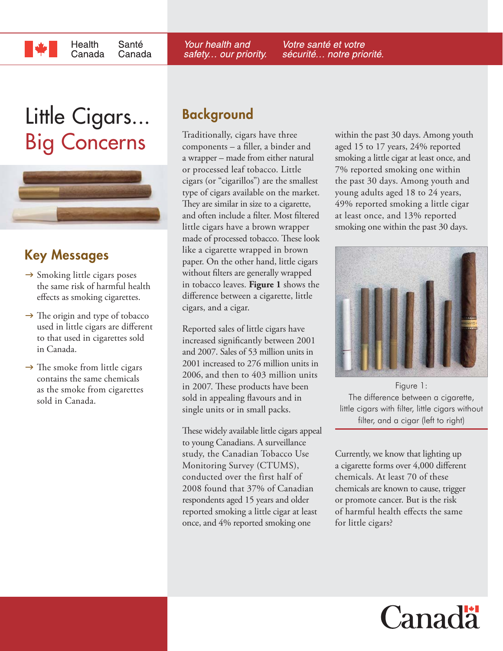# Little Cigars...

Health

Canada

Santé

Canada



## **Key Messages**

- $\rightarrow$  Smoking little cigars poses the same risk of harmful health effects as smoking cigarettes.
- $\rightarrow$  The origin and type of tobacco used in little cigars are different to that used in cigarettes sold in Canada.
- $\rightarrow$  The smoke from little cigars contains the same chemicals as the smoke from cigarettes sold in Canada.

## **Background**

Traditionally, cigars have three  $components - a filter$ , a binder and a wrapper – made from either natural or processed leaf tobacco. Little cigars (or "cigarillos") are the smallest type of cigars available on the market. They are similar in size to a cigarette, and often include a filter. Most filtered little cigars have a brown wrapper made of processed tobacco. These look like a cigarette wrapped in brown paper. On the other hand, little cigars without filters are generally wrapped in tobacco leaves. **Figure 1** shows the difference between a cigarette, little cigars, and a cigar.

Reported sales of little cigars have increased significantly between 2001 and 2007. Sales of 53 million units in 2001 increased to 276 million units in 2006, and then to 403 million units in 2007. These products have been sold in appealing flavours and in single units or in small packs.

These widely available little cigars appeal to young Canadians. A surveillance study, the Canadian Tobacco Use Monitoring Survey (CTUMS), conducted over the first half of 2008 found that 37% of Canadian respondents aged 15 years and older reported smoking a little cigar at least once, and 4% reported smoking one

**Big Concerns** Traditionally, cigars have three within the past 30 days. Among youth<br>components – a filler, a binder and aged 15 to 17 years, 24% reported aged 15 to 17 years, 24% reported smoking a little cigar at least once, and 7% reported smoking one within the past 30 days. Among youth and young adults aged 18 to 24 years, 49% reported smoking a little cigar at least once, and 13% reported smoking one within the past 30 days.



Figure 1: The difference between a cigarette, little cigars with filter, little cigars without filter, and a cigar (left to right)

Currently, we know that lighting up a cigarette forms over 4,000 different chemicals. At least 70 of these chemicals are known to cause, trigger or promote cancer. But is the risk of harmful health effects the same for little cigars?



Your health and safety... our priority. Votre santé et votre sécurité... notre priorité.